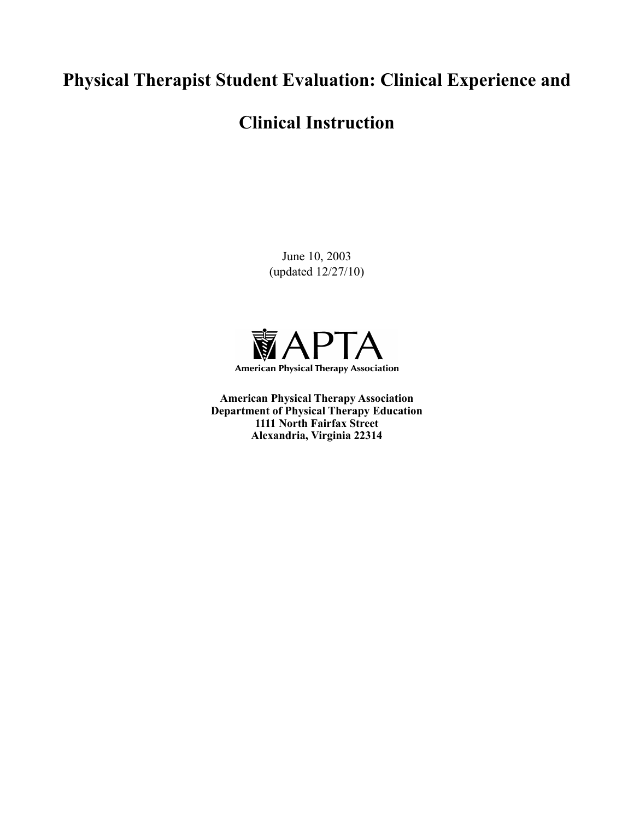# **Physical Therapist Student Evaluation: Clinical Experience and**

# **Clinical Instruction**

June 10, 2003 (updated 12/27/10)



**American Physical Therapy Association Department of Physical Therapy Education 1111 North Fairfax Street Alexandria, Virginia 22314**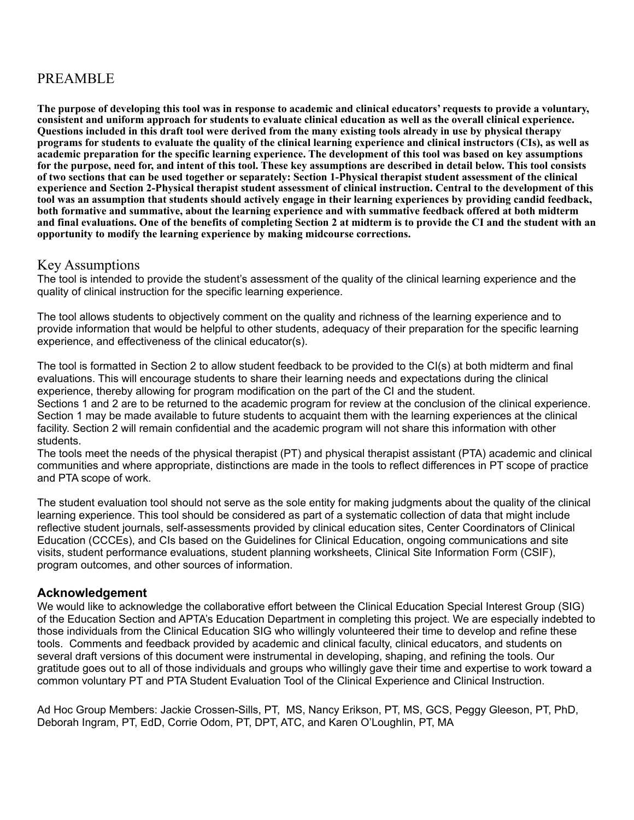# PREAMBLE

**The purpose of developing this tool was in response to academic and clinical educators' requests to provide a voluntary, consistent and uniform approach for students to evaluate clinical education as well as the overall clinical experience. Questions included in this draft tool were derived from the many existing tools already in use by physical therapy programs for students to evaluate the quality of the clinical learning experience and clinical instructors (CIs), as well as academic preparation for the specific learning experience. The development of this tool was based on key assumptions for the purpose, need for, and intent of this tool. These key assumptions are described in detail below. This tool consists of two sections that can be used together or separately: Section 1-Physical therapist student assessment of the clinical experience and Section 2-Physical therapist student assessment of clinical instruction. Central to the development of this tool was an assumption that students should actively engage in their learning experiences by providing candid feedback, both formative and summative, about the learning experience and with summative feedback offered at both midterm and final evaluations. One of the benefits of completing Section 2 at midterm is to provide the CI and the student with an opportunity to modify the learning experience by making midcourse corrections.** 

## Key Assumptions

The tool is intended to provide the student's assessment of the quality of the clinical learning experience and the quality of clinical instruction for the specific learning experience.

The tool allows students to objectively comment on the quality and richness of the learning experience and to provide information that would be helpful to other students, adequacy of their preparation for the specific learning experience, and effectiveness of the clinical educator(s).

The tool is formatted in Section 2 to allow student feedback to be provided to the CI(s) at both midterm and final evaluations. This will encourage students to share their learning needs and expectations during the clinical experience, thereby allowing for program modification on the part of the CI and the student. Sections 1 and 2 are to be returned to the academic program for review at the conclusion of the clinical experience. Section 1 may be made available to future students to acquaint them with the learning experiences at the clinical facility. Section 2 will remain confidential and the academic program will not share this information with other students.

The tools meet the needs of the physical therapist (PT) and physical therapist assistant (PTA) academic and clinical communities and where appropriate, distinctions are made in the tools to reflect differences in PT scope of practice and PTA scope of work.

The student evaluation tool should not serve as the sole entity for making judgments about the quality of the clinical learning experience. This tool should be considered as part of a systematic collection of data that might include reflective student journals, self-assessments provided by clinical education sites, Center Coordinators of Clinical Education (CCCEs), and CIs based on the Guidelines for Clinical Education, ongoing communications and site visits, student performance evaluations, student planning worksheets, Clinical Site Information Form (CSIF), program outcomes, and other sources of information.

#### **Acknowledgement**

We would like to acknowledge the collaborative effort between the Clinical Education Special Interest Group (SIG) of the Education Section and APTA's Education Department in completing this project. We are especially indebted to those individuals from the Clinical Education SIG who willingly volunteered their time to develop and refine these tools. Comments and feedback provided by academic and clinical faculty, clinical educators, and students on several draft versions of this document were instrumental in developing, shaping, and refining the tools. Our gratitude goes out to all of those individuals and groups who willingly gave their time and expertise to work toward a common voluntary PT and PTA Student Evaluation Tool of the Clinical Experience and Clinical Instruction.

Ad Hoc Group Members: Jackie Crossen-Sills, PT, MS, Nancy Erikson, PT, MS, GCS, Peggy Gleeson, PT, PhD, Deborah Ingram, PT, EdD, Corrie Odom, PT, DPT, ATC, and Karen O'Loughlin, PT, MA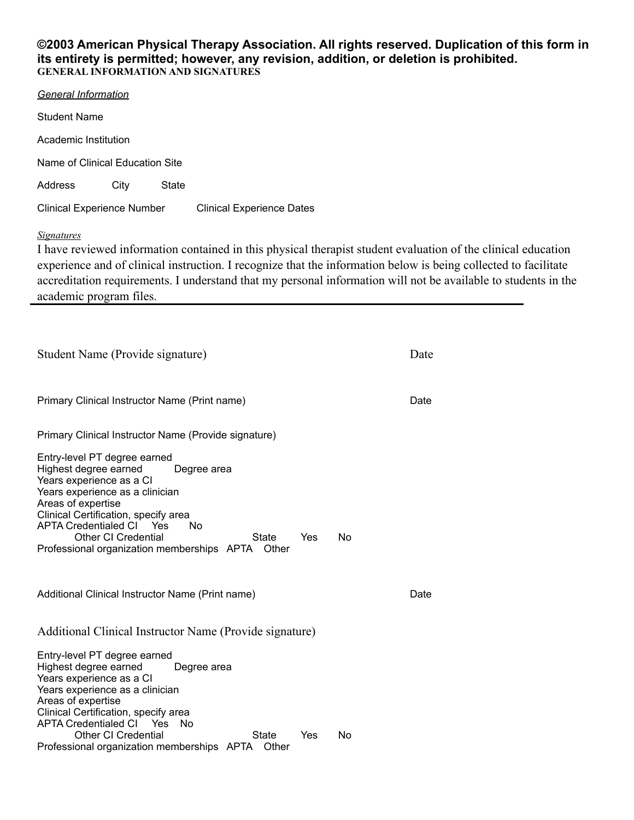#### **©2003 American Physical Therapy Association. All rights reserved. Duplication of this form in its entirety is permitted; however, any revision, addition, or deletion is prohibited. GENERAL INFORMATION AND SIGNATURES**

| General Information               |      |       |                                                                                                                                                                                                                                                                                                                                                                                                                                                                |  |  |
|-----------------------------------|------|-------|----------------------------------------------------------------------------------------------------------------------------------------------------------------------------------------------------------------------------------------------------------------------------------------------------------------------------------------------------------------------------------------------------------------------------------------------------------------|--|--|
| <b>Student Name</b>               |      |       |                                                                                                                                                                                                                                                                                                                                                                                                                                                                |  |  |
| Academic Institution              |      |       |                                                                                                                                                                                                                                                                                                                                                                                                                                                                |  |  |
| Name of Clinical Education Site   |      |       |                                                                                                                                                                                                                                                                                                                                                                                                                                                                |  |  |
| Address                           | City | State |                                                                                                                                                                                                                                                                                                                                                                                                                                                                |  |  |
| <b>Clinical Experience Number</b> |      |       | <b>Clinical Experience Dates</b>                                                                                                                                                                                                                                                                                                                                                                                                                               |  |  |
| Signatures                        |      |       | I have reviewed information contained in this physical therap<br>$\mathcal{L} = \mathcal{A} + \mathcal{A} + \mathcal{L}$<br>$\mathbf{1}$ $\mathbf{0}$ $\mathbf{1}$ $\mathbf{1}$ $\mathbf{1}$ $\mathbf{1}$ $\mathbf{1}$ $\mathbf{1}$ $\mathbf{1}$ $\mathbf{1}$ $\mathbf{1}$ $\mathbf{1}$ $\mathbf{1}$ $\mathbf{1}$ $\mathbf{1}$ $\mathbf{1}$ $\mathbf{1}$ $\mathbf{1}$ $\mathbf{1}$ $\mathbf{1}$ $\mathbf{1}$ $\mathbf{1}$ $\mathbf{1}$ $\mathbf{1}$ $\mathbf{$ |  |  |

bist student evaluation of the clinical education experience and of clinical instruction. I recognize that the information below is being collected to facilitate accreditation requirements. I understand that my personal information will not be available to students in the academic program files.

| Student Name (Provide signature)                                                                                                                                                                                                                                                                                                                                       |      |  |  |
|------------------------------------------------------------------------------------------------------------------------------------------------------------------------------------------------------------------------------------------------------------------------------------------------------------------------------------------------------------------------|------|--|--|
| Primary Clinical Instructor Name (Print name)                                                                                                                                                                                                                                                                                                                          | Date |  |  |
| Primary Clinical Instructor Name (Provide signature)                                                                                                                                                                                                                                                                                                                   |      |  |  |
| Entry-level PT degree earned<br>Highest degree earned<br>Degree area<br>Years experience as a CI<br>Years experience as a clinician<br>Areas of expertise<br>Clinical Certification, specify area<br><b>APTA Credentialed CI</b><br>Yes<br>No<br><b>Other CI Credential</b><br><b>State</b><br><b>No</b><br>Yes<br>Professional organization memberships APTA<br>Other |      |  |  |
| Additional Clinical Instructor Name (Print name)                                                                                                                                                                                                                                                                                                                       | Date |  |  |
| Additional Clinical Instructor Name (Provide signature)                                                                                                                                                                                                                                                                                                                |      |  |  |
| Entry-level PT degree earned<br>Highest degree earned<br>Degree area<br>Years experience as a CI<br>Years experience as a clinician<br>Areas of expertise<br>Clinical Certification, specify area<br><b>APTA Credentialed CI</b><br>Yes<br>No.<br>Other CI Credential<br>State<br>Yes<br>No<br>Professional organization memberships APTA<br>Other                     |      |  |  |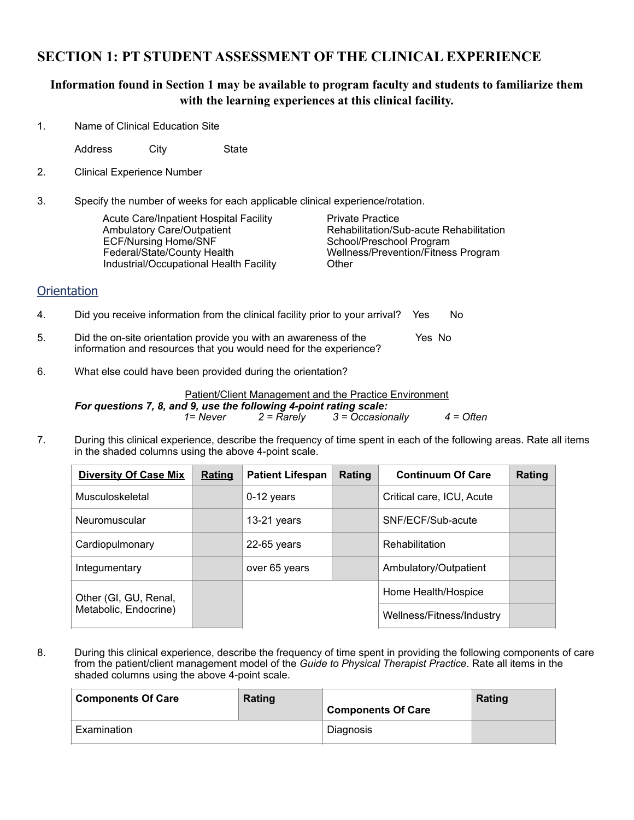## **SECTION 1: PT STUDENT ASSESSMENT OF THE CLINICAL EXPERIENCE**

### **Information found in Section 1 may be available to program faculty and students to familiarize them with the learning experiences at this clinical facility.**

1. Name of Clinical Education Site

Address City State

- 2. Clinical Experience Number
- 3. Specify the number of weeks for each applicable clinical experience/rotation.

Acute Care/Inpatient Hospital Facility **1998 Private Practice**<br>Ambulatory Care/Outpatient **1998 Rehabilitation/S** ECF/Nursing Home/SNF Federal/State/County Health Wellness/Prevention/Fitness Program Industrial/Occupational Health Facility **CHACK** 

Rehabilitation/Sub-acute Rehabilitation<br>School/Preschool Program

#### **Orientation**

- 4. Did you receive information from the clinical facility prior to your arrival? Yes No
- 5. Did the on-site orientation provide you with an awareness of the Yes No information and resources that you would need for the experience?
- 6. What else could have been provided during the orientation?

#### Patient/Client Management and the Practice Environment

*For questions 7, 8, and 9, use the following 4-point rating scale: 1= Never 2 = Rarely 3 = Occasionally 4 = Often*

7. During this clinical experience, describe the frequency of time spent in each of the following areas. Rate all items in the shaded columns using the above 4-point scale.

| <b>Diversity Of Case Mix</b> | <b>Rating</b> | <b>Patient Lifespan</b> | Rating | <b>Continuum Of Care</b>  | Rating |
|------------------------------|---------------|-------------------------|--------|---------------------------|--------|
| Musculoskeletal              |               | $0-12$ years            |        | Critical care, ICU, Acute |        |
| Neuromuscular                |               | $13-21$ years           |        | SNF/ECF/Sub-acute         |        |
| Cardiopulmonary              |               | $22-65$ years           |        | Rehabilitation            |        |
| Integumentary                |               | over 65 years           |        | Ambulatory/Outpatient     |        |
| Other (GI, GU, Renal,        |               |                         |        | Home Health/Hospice       |        |
| Metabolic, Endocrine)        |               |                         |        | Wellness/Fitness/Industry |        |

8. During this clinical experience, describe the frequency of time spent in providing the following components of care from the patient/client management model of the *Guide to Physical Therapist Practice*. Rate all items in the shaded columns using the above 4-point scale.

| <b>Components Of Care</b> | Rating | <b>Components Of Care</b> | Rating |
|---------------------------|--------|---------------------------|--------|
| Examination               |        | Diagnosis                 |        |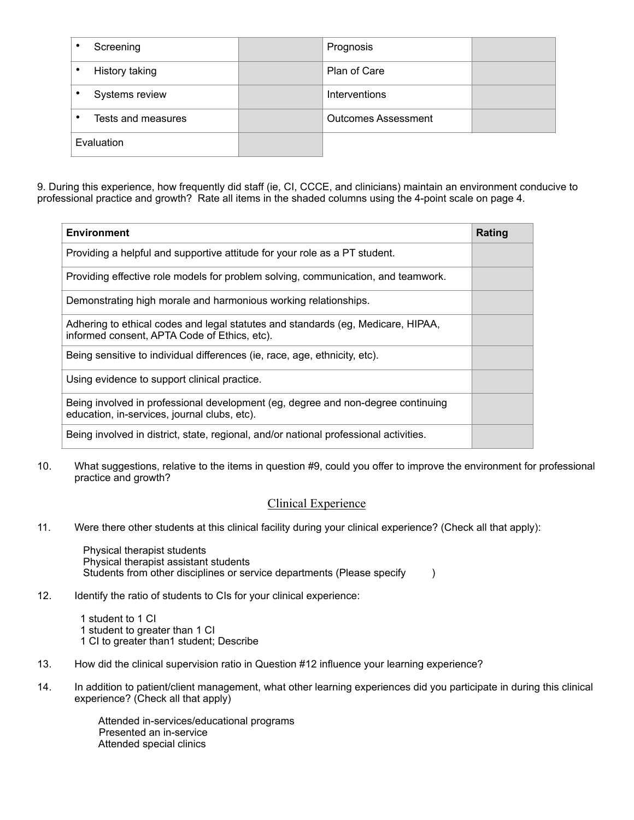| Screening          | Prognosis                  |  |
|--------------------|----------------------------|--|
| History taking     | Plan of Care               |  |
| Systems review     | Interventions              |  |
| Tests and measures | <b>Outcomes Assessment</b> |  |
| Evaluation         |                            |  |

9. During this experience, how frequently did staff (ie, CI, CCCE, and clinicians) maintain an environment conducive to professional practice and growth? Rate all items in the shaded columns using the 4-point scale on page 4.

| <b>Environment</b>                                                                                                               | Rating |
|----------------------------------------------------------------------------------------------------------------------------------|--------|
| Providing a helpful and supportive attitude for your role as a PT student.                                                       |        |
| Providing effective role models for problem solving, communication, and teamwork.                                                |        |
| Demonstrating high morale and harmonious working relationships.                                                                  |        |
| Adhering to ethical codes and legal statutes and standards (eg, Medicare, HIPAA,<br>informed consent, APTA Code of Ethics, etc). |        |
| Being sensitive to individual differences (ie, race, age, ethnicity, etc).                                                       |        |
| Using evidence to support clinical practice.                                                                                     |        |
| Being involved in professional development (eg, degree and non-degree continuing<br>education, in-services, journal clubs, etc). |        |
| Being involved in district, state, regional, and/or national professional activities.                                            |        |

10. What suggestions, relative to the items in question #9, could you offer to improve the environment for professional practice and growth?

#### Clinical Experience

11. Were there other students at this clinical facility during your clinical experience? (Check all that apply):

 Physical therapist students Physical therapist assistant students Students from other disciplines or service departments (Please specify  $\qquad \qquad$  )

12. Identify the ratio of students to CIs for your clinical experience:

 1 student to 1 CI 1 student to greater than 1 CI 1 CI to greater than1 student; Describe

- 13. How did the clinical supervision ratio in Question #12 influence your learning experience?
- 14. In addition to patient/client management, what other learning experiences did you participate in during this clinical experience? (Check all that apply)

 Attended in-services/educational programs Presented an in-service Attended special clinics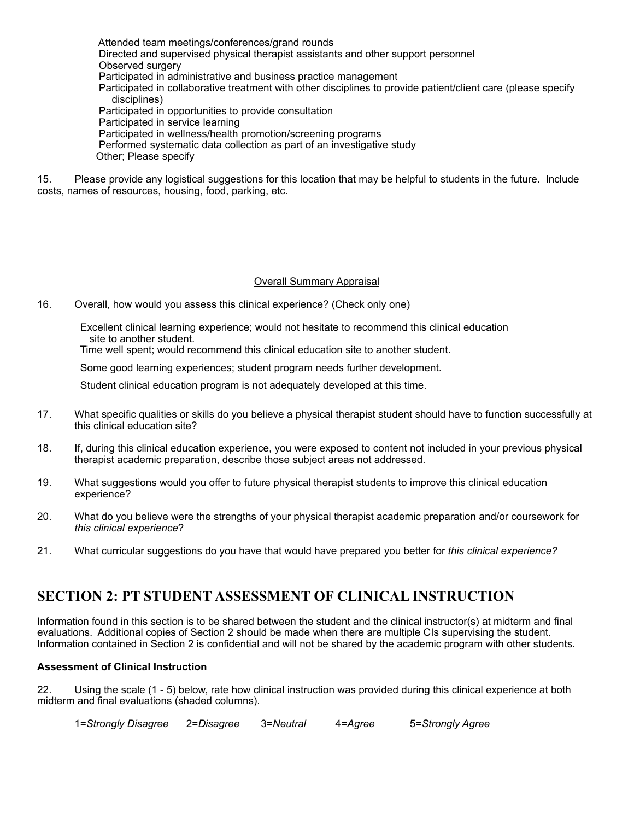Attended team meetings/conferences/grand rounds Directed and supervised physical therapist assistants and other support personnel Observed surgery Participated in administrative and business practice management Participated in collaborative treatment with other disciplines to provide patient/client care (please specify disciplines) Participated in opportunities to provide consultation Participated in service learning Participated in wellness/health promotion/screening programs Performed systematic data collection as part of an investigative study Other; Please specify

15. Please provide any logistical suggestions for this location that may be helpful to students in the future. Include costs, names of resources, housing, food, parking, etc.

#### Overall Summary Appraisal

16. Overall, how would you assess this clinical experience? (Check only one)

 Excellent clinical learning experience; would not hesitate to recommend this clinical education site to another student.

Time well spent; would recommend this clinical education site to another student.

Some good learning experiences; student program needs further development.

Student clinical education program is not adequately developed at this time.

- 17. What specific qualities or skills do you believe a physical therapist student should have to function successfully at this clinical education site?
- 18. If, during this clinical education experience, you were exposed to content not included in your previous physical therapist academic preparation, describe those subject areas not addressed.
- 19. What suggestions would you offer to future physical therapist students to improve this clinical education experience?
- 20. What do you believe were the strengths of your physical therapist academic preparation and/or coursework for *this clinical experience*?
- 21. What curricular suggestions do you have that would have prepared you better for *this clinical experience?*

## **SECTION 2: PT STUDENT ASSESSMENT OF CLINICAL INSTRUCTION**

Information found in this section is to be shared between the student and the clinical instructor(s) at midterm and final evaluations. Additional copies of Section 2 should be made when there are multiple CIs supervising the student. Information contained in Section 2 is confidential and will not be shared by the academic program with other students.

#### **Assessment of Clinical Instruction**

22. Using the scale (1 - 5) below, rate how clinical instruction was provided during this clinical experience at both midterm and final evaluations (shaded columns).

1=*Strongly Disagree* 2=*Disagree* 3=*Neutral* 4=*Agree* 5=*Strongly Agree*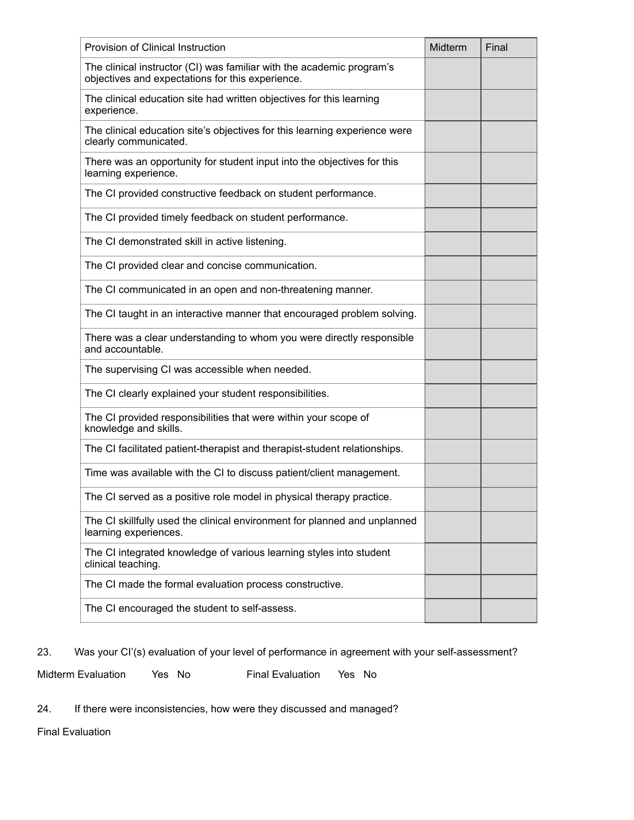| Provision of Clinical Instruction                                                                                         | Midterm | Final |
|---------------------------------------------------------------------------------------------------------------------------|---------|-------|
| The clinical instructor (CI) was familiar with the academic program's<br>objectives and expectations for this experience. |         |       |
| The clinical education site had written objectives for this learning<br>experience.                                       |         |       |
| The clinical education site's objectives for this learning experience were<br>clearly communicated.                       |         |       |
| There was an opportunity for student input into the objectives for this<br>learning experience.                           |         |       |
| The CI provided constructive feedback on student performance.                                                             |         |       |
| The CI provided timely feedback on student performance.                                                                   |         |       |
| The CI demonstrated skill in active listening.                                                                            |         |       |
| The CI provided clear and concise communication.                                                                          |         |       |
| The CI communicated in an open and non-threatening manner.                                                                |         |       |
| The CI taught in an interactive manner that encouraged problem solving.                                                   |         |       |
| There was a clear understanding to whom you were directly responsible<br>and accountable.                                 |         |       |
| The supervising CI was accessible when needed.                                                                            |         |       |
| The CI clearly explained your student responsibilities.                                                                   |         |       |
| The CI provided responsibilities that were within your scope of<br>knowledge and skills.                                  |         |       |
| The CI facilitated patient-therapist and therapist-student relationships.                                                 |         |       |
| Time was available with the CI to discuss patient/client management.                                                      |         |       |
| The CI served as a positive role model in physical therapy practice.                                                      |         |       |
| The CI skillfully used the clinical environment for planned and unplanned<br>learning experiences.                        |         |       |
| The CI integrated knowledge of various learning styles into student<br>clinical teaching.                                 |         |       |
| The CI made the formal evaluation process constructive.                                                                   |         |       |
| The CI encouraged the student to self-assess.                                                                             |         |       |

23. Was your CI'(s) evaluation of your level of performance in agreement with your self-assessment?

Midterm Evaluation Yes No Final Evaluation Yes No

24. If there were inconsistencies, how were they discussed and managed?

Final Evaluation